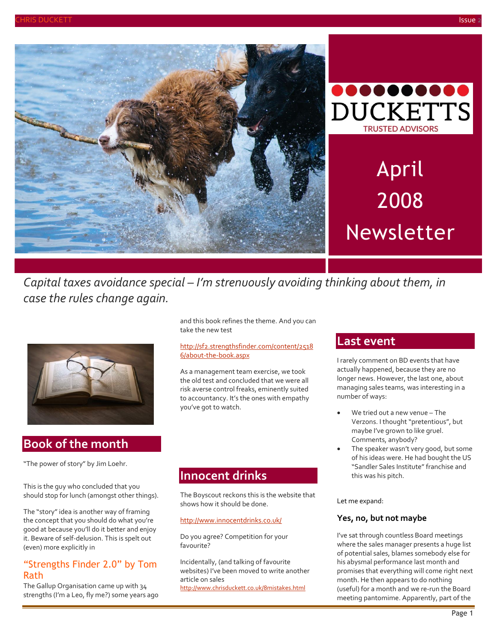



# April 2008 Newsletter

*Capital taxes avoidance special – I'm strenuously avoiding thinking about them, in case the rules change again.*



### **Book of the month**

"The power of story" by Jim Loehr.

This is the guy who concluded that you should stop for lunch (amongst other things).

The "story" idea is another way of framing the concept that you should do what you're good at because you'll do it better and enjoy it. Beware of self-delusion. This is spelt out (even) more explicitly in

### "Strengths Finder 2.0" by Tom Rath

The Gallup Organisation came up with 34 strengths (I'm a Leo, fly me?) some years ago

and this book refines the theme. And you can take the new test

#### [http://sf2.strengthsfinder.com/content/2518](http://sf2.strengthsfinder.com/content/25186/about-the-book.aspx) [6/about-the-book.aspx](http://sf2.strengthsfinder.com/content/25186/about-the-book.aspx)

As a management team exercise, we took the old test and concluded that we were all risk averse control freaks, eminently suited to accountancy. It's the ones with empathy you've got to watch.

### **Innocent drinks**

The Boyscout reckons this is the website that shows how it should be done.

#### <http://www.innocentdrinks.co.uk/>

Do you agree? Competition for your favourite?

Incidentally, (and talking of favourite websites) I've been moved to write another article on sales <http://www.chrisduckett.co.uk/8mistakes.html>

### **Last event**

I rarely comment on BD events that have actually happened, because they are no longer news. However, the last one, about managing sales teams, was interesting in a number of ways:

- We tried out a new venue The Verzons. I thought "pretentious", but maybe I've grown to like gruel. Comments, anybody?
- The speaker wasn't very good, but some of his ideas were. He had bought the US "Sandler Sales Institute" franchise and this was his pitch.

Let me expand:

#### **Yes, no, but not maybe**

I've sat through countless Board meetings where the sales manager presents a huge list of potential sales, blames somebody else for his abysmal performance last month and promises that everything will come right next month. He then appears to do nothing (useful) for a month and we re-run the Board meeting pantomime. Apparently, part of the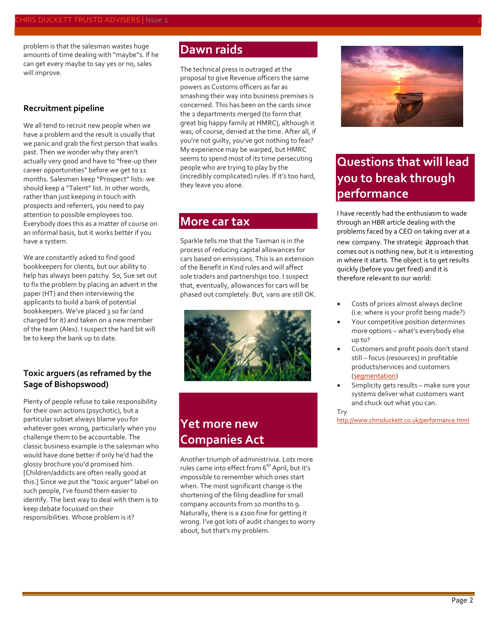problem is that the salesman wastes huge amounts of time dealing with "maybe"s. If he can get every maybe to say yes or no, sales will improve.

#### **Recruitment pipeline**

We all tend to recruit new people when we have a problem and the result is usually that we panic and grab the first person that walks past. Then we wonder why they aren't actually very good and have to "free-up their career opportunities" before we get to 11 months. Salesmen keep "Prospect" lists: we should keep a "Talent" list. In other words, rather than just keeping in touch with prospects and referrers, you need to pay attention to possible employees too. Everybody does this as a matter of course on an informal basis, but it works better if you have a system.

We are constantly asked to find good bookkeepers for clients, but our ability to help has always been patchy. So, Sue set out to fix the problem by placing an advert in the paper (HT) and then interviewing the applicants to build a bank of potential bookkeepers. We've placed 3 so far (and charged for it) and taken on a new member of the team (Alex). I suspect the hard bit will be to keep the bank up to date.

#### **Toxic arguers (as reframed by the Sage of Bishopswood)**

Plenty of people refuse to take responsibility for their own actions (psychotic), but a particular subset always blame you for whatever goes wrong, particularly when you challenge them to be accountable. The classic business example is the salesman who would have done better if only he'd had the glossy brochure you'd promised him. [Children/addicts are often really good at this.] Since we put the "toxic arguer" label on such people, I've found them easier to identify. The best way to deal with them is to keep debate focussed on their responsibilities. Whose problem is it?

### **Dawn raids**

The technical press is outraged at the proposal to give Revenue officers the same powers as Customs officers as far as smashing their way into business premises is concerned. This has been on the cards since the 2 departments merged (to form that great big happy family at HMRC), although it was, of course, denied at the time. After all, if you're not guilty, you've got nothing to fear? My experience may be warped, but HMRC seems to spend most of its time persecuting people who are trying to play by the (incredibly complicated) rules. If it's too hard, they leave you alone.

### **More car tax**

Sparkle tells me that the Taxman is in the process of reducing capital allowances for cars based on emissions. This is an extension of the Benefit in Kind rules and will affect sole traders and partnerships too. I suspect that, eventually, allowances for cars will be phased out completely. But, vans are still OK.



# **Yet more new Companies Act**

Another triumph of administrivia. Lots more rules came into effect from 6<sup>th</sup> April, but it's impossible to remember which ones start when. The most significant change is the shortening of the filing deadline for small company accounts from 10 months to 9. Naturally, there is a £100 fine for getting it wrong. I've got lots of audit changes to worry about, but that's my problem.



# **Questions that will lead you to break through performance**

I have recently had the enthusiasm to wade through an HBR article dealing with the problems faced by a CEO on taking over at a

new company. The strategic approach that comes out is nothing new, but it is interesting in where it starts. The object is to get results quickly (before you get fired) and it is therefore relevant to our world:

- Costs of prices almost always decline (i.e. where is your profit being made?)
- Your competitive position determines more options – what's everybody else up to?
- Customers and profit pools don't stand still – focus (resources) in profitable products/services and customers [\(segmentation\)](http://www.chrisduckett.co.uk/marketingforwimp.html)
- Simplicity gets results make sure your systems deliver what customers want and chuck out what you can.

Try

<http://www.chrisduckett.co.uk/performance.html>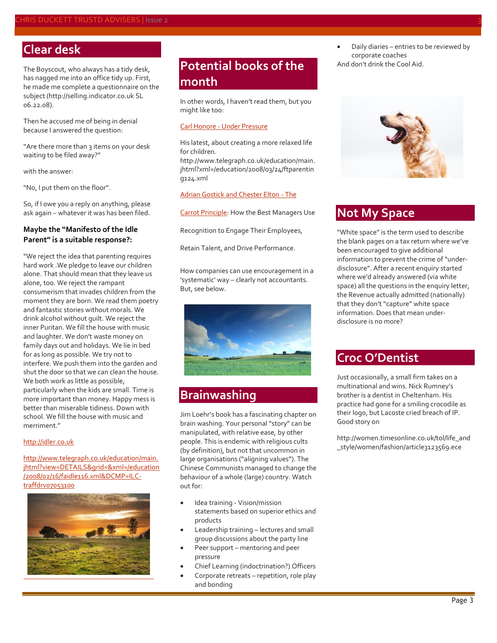# **Clear desk**

The Boyscout, who always has a tidy desk, has nagged me into an office tidy up. First, he made me complete a questionnaire on the subject [\(http://selling.indicator.co.uk](http://selling.indicator.co.uk/) SL 06.22.08).

Then he accused me of being in denial because I answered the question:

"Are there more than 3 items on your desk waiting to be filed away?"

with the answer:

"No, I put them on the floor".

So, if I owe you a reply on anything, please ask again – whatever it was has been filed.

#### **Maybe the "Manifesto of the Idle Parent" is a suitable response?:**

"We reject the idea that parenting requires hard work .We pledge to leave our children alone. That should mean that they leave us alone, too. We reject the rampant consumerism that invades children from the moment they are born. We read them poetry and fantastic stories without morals. We drink alcohol without guilt. We reject the inner Puritan. We fill the house with music and laughter. We don't waste money on family days out and holidays. We lie in bed for as long as possible. We try not to interfere. We push them into the garden and shut the door so that we can clean the house. We both work as little as possible. particularly when the kids are small. Time is more important than money. Happy mess is better than miserable tidiness. Down with school. We fill the house with music and merriment<sup>"</sup>

#### [http://idler.co.uk](http://idler.co.uk/)

[http://www.telegraph.co.uk/education/main.](http://www.telegraph.co.uk/education/main.jhtml?view=DETAILS&grid=&xml=/education/2008/02/16/faidle116.xml&DCMP=ILC-traffdrv07053100) [jhtml?view=DETAILS&grid=&xml=/education](http://www.telegraph.co.uk/education/main.jhtml?view=DETAILS&grid=&xml=/education/2008/02/16/faidle116.xml&DCMP=ILC-traffdrv07053100) [/2008/02/16/faidle116.xml&DCMP=ILC](http://www.telegraph.co.uk/education/main.jhtml?view=DETAILS&grid=&xml=/education/2008/02/16/faidle116.xml&DCMP=ILC-traffdrv07053100)[traffdrv07053100](http://www.telegraph.co.uk/education/main.jhtml?view=DETAILS&grid=&xml=/education/2008/02/16/faidle116.xml&DCMP=ILC-traffdrv07053100)



# **Potential books of the month**

In other words, I haven't read them, but you might like too:

#### Carl Honore - [Under Pressure](http://www.amazon.co.uk/Under-Pressure-Rescuing-Children-Hyper-parenting/dp/0752891367/ref=pd_bbs_sr_2?ie=UTF8&s=books&qid=1206357846&sr=8-2)

His latest, about creating a more relaxed life for children.

[http://www.telegraph.co.uk/education/main.](http://www.telegraph.co.uk/education/main.jhtml?xml=/education/2008/03/24/ftparenting124.xml) [jhtml?xml=/education/2008/03/24/ftparentin](http://www.telegraph.co.uk/education/main.jhtml?xml=/education/2008/03/24/ftparenting124.xml) [g124.xml](http://www.telegraph.co.uk/education/main.jhtml?xml=/education/2008/03/24/ftparenting124.xml)

#### [Adrian Gostick and Chester Elton -](http://www.amazon.co.uk/Carrot-Principle-Recognition-Employees-Performance/dp/1416544178/ref=pd_bbs_sr_1?ie=UTF8&s=books&qid=1206358307&sr=8-1) The

[Carrot Principle:](http://www.amazon.co.uk/Carrot-Principle-Recognition-Employees-Performance/dp/1416544178/ref=pd_bbs_sr_1?ie=UTF8&s=books&qid=1206358307&sr=8-1) How the Best Managers Use

Recognition to Engage Their Employees,

Retain Talent, and Drive Performance.

How companies can use encouragement in a 'systematic' way – clearly not accountants. But, see below.



### **Brainwashing**

Jim Loehr's book has a fascinating chapter on brain washing. Your personal "story" can be manipulated, with relative ease, by other people. This is endemic with religious cults (by definition), but not that uncommon in large organisations ("aligning values"). The Chinese Communists managed to change the behaviour of a whole (large) country. Watch out for:

- Idea training Vision/mission statements based on superior ethics and products
- Leadership training lectures and small group discussions about the party line
- Peer support mentoring and peer pressure
- Chief Learning (indoctrination?) Officers
- Corporate retreats repetition, role play and bonding
- Daily diaries entries to be reviewed by corporate coaches
- And don't drink the Cool Aid.



### **Not My Space**

"White space" is the term used to describe the blank pages on a tax return where we've been encouraged to give additional information to prevent the crime of "underdisclosure". After a recent enquiry started where we'd already answered (via white space) all the questions in the enquiry letter, the Revenue actually admitted (nationally) that they don't "capture" white space information. Does that mean underdisclosure is no more?

### **Croc O'Dentist**

Just occasionally, a small firm takes on a multinational and wins. Nick Rumney's brother is a dentist in Cheltenham. His practice had gone for a smiling crocodile as their logo, but Lacoste cried breach of IP. Good story on

[http://women.timesonline.co.uk/tol/life\\_and](http://women.timesonline.co.uk/tol/life_and_style/women/fashion/article3123569.ece) [\\_style/women/fashion/article3123569.ece](http://women.timesonline.co.uk/tol/life_and_style/women/fashion/article3123569.ece)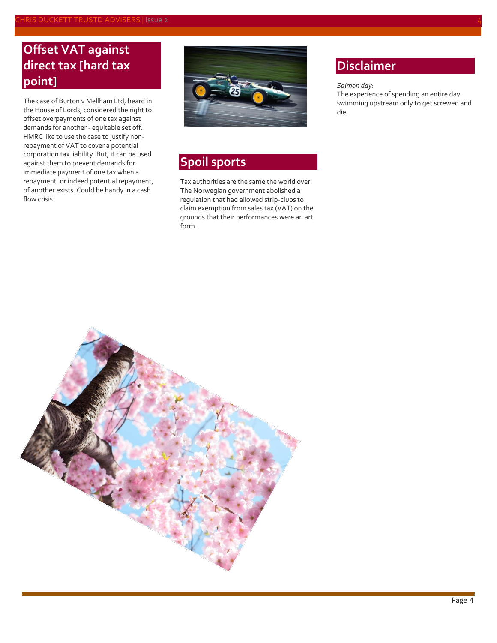# **Offset VAT against direct tax [hard tax point]**

The case of Burton v Mellham Ltd, heard in the House of Lords, considered the right to offset overpayments of one tax against demands for another - equitable set off. HMRC like to use the case to justify nonrepayment of VAT to cover a potential corporation tax liability. But, it can be used against them to prevent demands for immediate payment of one tax when a repayment, or indeed potential repayment, of another exists. Could be handy in a cash flow crisis.



# **Spoil sports**

Tax authorities are the same the world over. The Norwegian government abolished a regulation that had allowed strip-clubs to claim exemption from sales tax (VAT) on the grounds that their performances were an art form.

### **Disclaimer**

#### *Salmon day*:

The experience of spending an entire day swimming upstream only to get screwed and die.